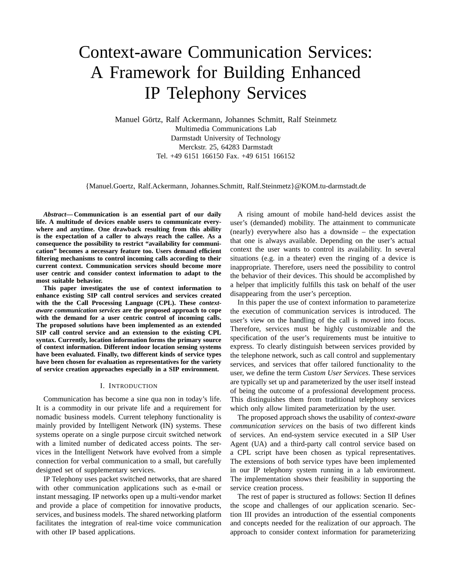# Context-aware Communication Services: A Framework for Building Enhanced IP Telephony Services

Manuel Görtz, Ralf Ackermann, Johannes Schmitt, Ralf Steinmetz Multimedia Communications Lab Darmstadt University of Technology Merckstr. 25, 64283 Darmstadt Tel. +49 6151 166150 Fax. +49 6151 166152

{Manuel.Goertz, Ralf.Ackermann, Johannes.Schmitt, Ralf.Steinmetz}@KOM.tu-darmstadt.de

*Abstract***— Communication is an essential part of our daily life. A multitude of devices enable users to communicate everywhere and anytime. One drawback resulting from this ability is the expectation of a caller to always reach the callee. As a consequence the possibility to restrict "availability for communication" becomes a necessary feature too. Users demand efficient filtering mechanisms to control incoming calls according to their current context. Communication services should become more user centric and consider context information to adapt to the most suitable behavior.**

**This paper investigates the use of context information to enhance existing SIP call control services and services created with the the Call Processing Language (CPL). These** *contextaware communication services* **are the proposed approach to cope with the demand for a user centric control of incoming calls. The proposed solutions have been implemented as an extended SIP call control service and an extension to the existing CPL syntax. Currently, location information forms the primary source of context information. Different indoor location sensing systems have been evaluated. Finally, two different kinds of service types have been chosen for evaluation as representatives for the variety of service creation approaches especially in a SIP environment.**

## I. INTRODUCTION

Communication has become a sine qua non in today's life. It is a commodity in our private life and a requirement for nomadic business models. Current telephony functionality is mainly provided by Intelligent Network (IN) systems. These systems operate on a single purpose circuit switched network with a limited number of dedicated access points. The services in the Intelligent Network have evolved from a simple connection for verbal communication to a small, but carefully designed set of supplementary services.

IP Telephony uses packet switched networks, that are shared with other communication applications such as e-mail or instant messaging. IP networks open up a multi-vendor market and provide a place of competition for innovative products, services, and business models. The shared networking platform facilitates the integration of real-time voice communication with other IP based applications.

A rising amount of mobile hand-held devices assist the user's (demanded) mobility. The attainment to communicate (nearly) everywhere also has a downside – the expectation that one is always available. Depending on the user's actual context the user wants to control its availability. In several situations (e.g. in a theater) even the ringing of a device is inappropriate. Therefore, users need the possibility to control the behavior of their devices. This should be accomplished by a helper that implicitly fulfills this task on behalf of the user disappearing from the user's perception.

In this paper the use of context information to parameterize the execution of communication services is introduced. The user's view on the handling of the call is moved into focus. Therefore, services must be highly customizable and the specification of the user's requirements must be intuitive to express. To clearly distinguish between services provided by the telephone network, such as call control and supplementary services, and services that offer tailored functionality to the user, we define the term *Custom User Services*. These services are typically set up and parameterized by the user itself instead of being the outcome of a professional development process. This distinguishes them from traditional telephony services which only allow limited parameterization by the user.

The proposed approach shows the usability of *context-aware communication services* on the basis of two different kinds of services. An end-system service executed in a SIP User Agent (UA) and a third-party call control service based on a CPL script have been chosen as typical representatives. The extensions of both service types have been implemented in our IP telephony system running in a lab environment. The implementation shows their feasibility in supporting the service creation process.

The rest of paper is structured as follows: Section II defines the scope and challenges of our application scenario. Section III provides an introduction of the essential components and concepts needed for the realization of our approach. The approach to consider context information for parameterizing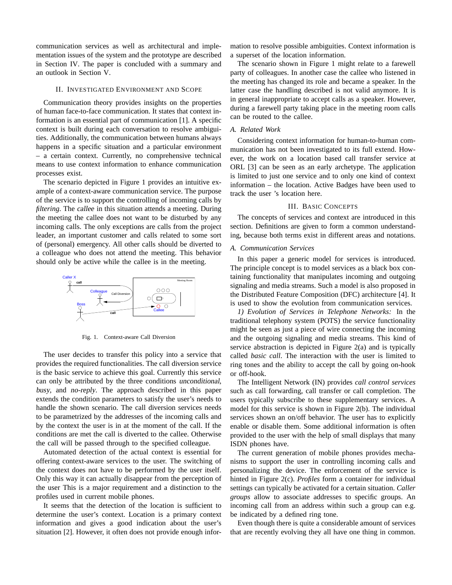communication services as well as architectural and implementation issues of the system and the prototype are described in Section IV. The paper is concluded with a summary and an outlook in Section V.

## II. INVESTIGATED ENVIRONMENT AND SCOPE

Communication theory provides insights on the properties of human face-to-face communication. It states that context information is an essential part of communication [1]. A specific context is built during each conversation to resolve ambiguities. Additionally, the communication between humans always happens in a specific situation and a particular environment – a certain context. Currently, no comprehensive technical means to use context information to enhance communication processes exist.

The scenario depicted in Figure 1 provides an intuitive example of a context-aware communication service. The purpose of the service is to support the controlling of incoming calls by *filtering*. The callee in this situation attends a meeting. During the meeting the callee does not want to be disturbed by any incoming calls. The only exceptions are calls from the project leader, an important customer and calls related to some sort of (personal) emergency. All other calls should be diverted to a colleague who does not attend the meeting. This behavior should only be active while the callee is in the meeting.



Fig. 1. Context-aware Call Diversion

The user decides to transfer this policy into a service that provides the required functionalities. The call diversion service is the basic service to achieve this goal. Currently this service can only be attributed by the three conditions unconditional, busy, and no-reply. The approach described in this paper extends the condition parameters to satisfy the user's needs to handle the shown scenario. The call diversion services needs to be parametrized by the addresses of the incoming calls and by the context the user is in at the moment of the call. If the conditions are met the call is diverted to the callee. Otherwise the call will be passed through to the specified colleague.

Automated detection of the actual context is essential for offering context-aware services to the user. The switching of the context does not have to be performed by the user itself. Only this way it can actually disappear from the perception of the user This is a major requirement and a distinction to the profiles used in current mobile phones.

It seems that the detection of the location is sufficient to determine the user's context. Location is a primary context information and gives a good indication about the user's situation [2]. However, it often does not provide enough information to resolve possible ambiguities. Context information is a superset of the location information.

The scenario shown in Figure 1 might relate to a farewell party of colleagues. In another case the callee who listened in the meeting has changed its role and became a speaker. In the latter case the handling described is not valid anymore. It is in general inappropriate to accept calls as a speaker. However, during a farewell party taking place in the meeting room calls can be routed to the callee.

# *A. Related Work*

Considering context information for human-to-human communication has not been investigated to its full extend. However, the work on a location based call transfer service at ORL [3] can be seen as an early archetype. The application is limited to just one service and to only one kind of context information – the location. Active Badges have been used to track the user 's location here.

## III. BASIC CONCEPTS

The concepts of services and context are introduced in this section. Definitions are given to form a common understanding, because both terms exist in different areas and notations.

## *A. Communication Services*

In this paper a generic model for services is introduced. The principle concept is to model services as a black box containing functionality that manipulates incoming and outgoing signaling and media streams. Such a model is also proposed in the Distributed Feature Composition (DFC) architecture [4]. It is used to show the evolution from communication services.

*1) Evolution of Services in Telephone Networks:* In the traditional telephony system (POTS) the service functionality might be seen as just a piece of wire connecting the incoming and the outgoing signaling and media streams. This kind of service abstraction is depicted in Figure 2(a) and is typically called *basic call*. The interaction with the user is limited to ring tones and the ability to accept the call by going on-hook or off-hook.

The Intelligent Network (IN) provides *call control services* such as call forwarding, call transfer or call completion. The users typically subscribe to these supplementary services. A model for this service is shown in Figure 2(b). The individual services shown an on/off behavior. The user has to explicitly enable or disable them. Some additional information is often provided to the user with the help of small displays that many ISDN phones have.

The current generation of mobile phones provides mechanisms to support the user in controlling incoming calls and personalizing the device. The enforcement of the service is hinted in Figure 2(c). *Profiles* form a container for individual settings can typically be activated for a certain situation. *Caller groups* allow to associate addresses to specific groups. An incoming call from an address within such a group can e.g. be indicated by a defined ring tone.

Even though there is quite a considerable amount of services that are recently evolving they all have one thing in common.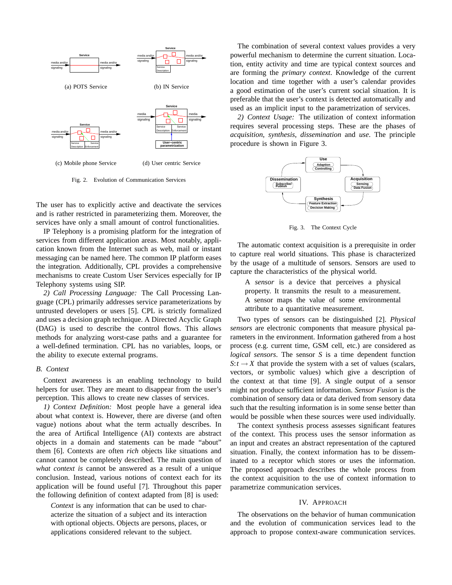

Fig. 2. Evolution of Communication Services

The user has to explicitly active and deactivate the services and is rather restricted in parameterizing them. Moreover, the services have only a small amount of control functionalities.

IP Telephony is a promising platform for the integration of services from different application areas. Most notably, application known from the Internet such as web, mail or instant messaging can be named here. The common IP platform eases the integration. Additionally, CPL provides a comprehensive mechanisms to create Custom User Services especially for IP Telephony systems using SIP.

*2) Call Processing Language:* The Call Processing Language (CPL) primarily addresses service parameterizations by untrusted developers or users [5]. CPL is strictly formalized and uses a decision graph technique. A Directed Acyclic Graph (DAG) is used to describe the control flows. This allows methods for analyzing worst-case paths and a guarantee for a well-defined termination. CPL has no variables, loops, or the ability to execute external programs.

### *B. Context*

Context awareness is an enabling technology to build helpers for user. They are meant to disappear from the user's perception. This allows to create new classes of services.

*1) Context Definition:* Most people have a general idea about what context is. However, there are diverse (and often vague) notions about what the term actually describes. In the area of Artifical Intelligence (AI) contexts are abstract objects in a domain and statements can be made "about" them [6]. Contexts are often *rich* objects like situations and cannot cannot be completely described. The main question of *what context is* cannot be answered as a result of a unique conclusion. Instead, various notions of context each for its application will be found useful [7]. Throughout this paper the following definition of context adapted from [8] is used:

*Context* is any information that can be used to characterize the situation of a subject and its interaction with optional objects. Objects are persons, places, or applications considered relevant to the subject.

The combination of several context values provides a very powerful mechanism to determine the current situation. Location, entity activity and time are typical context sources and are forming the *primary context*. Knowledge of the current location and time together with a user's calendar provides a good estimation of the user's current social situation. It is preferable that the user's context is detected automatically and used as an implicit input to the parametrization of services.

*2) Context Usage:* The utilization of context information requires several processing steps. These are the phases of *acquisition*, *synthesis*, *dissemination* and *use*. The principle procedure is shown in Figure 3.



Fig. 3. The Context Cycle

The automatic context acquisition is a prerequisite in order to capture real world situations. This phase is characterized by the usage of a multitude of sensors. Sensors are used to capture the characteristics of the physical world.

A *sensor* is a device that perceives a physical property. It transmits the result to a measurement. A sensor maps the value of some environmental attribute to a quantitative measurement.

Two types of sensors can be distinguished [2]. *Physical sensors* are electronic components that measure physical parameters in the environment. Information gathered from a host process (e.g. current time, GSM cell, etc.) are considered as *logical sensors*. The sensor *S* is a time dependent function  $S$ :*t*  $\rightarrow$  *X* that provide the system with a set of values (scalars, vectors, or symbolic values) which give a description of the context at that time [9]. A single output of a sensor might not produce sufficient information. *Sensor Fusion* is the combination of sensory data or data derived from sensory data such that the resulting information is in some sense better than would be possible when these sources were used individually.

The context synthesis process assesses significant features of the context. This process uses the sensor information as an input and creates an abstract representation of the captured situation. Finally, the context information has to be disseminated to a receptor which stores or uses the information. The proposed approach describes the whole process from the context acquisition to the use of context information to parametrize communication services.

#### IV. APPROACH

The observations on the behavior of human communication and the evolution of communication services lead to the approach to propose context-aware communication services.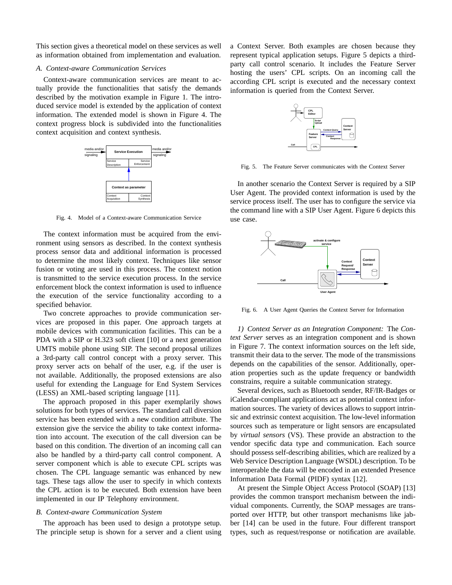This section gives a theoretical model on these services as well as information obtained from implementation and evaluation.

## *A. Context-aware Communication Services*

Context-aware communication services are meant to actually provide the functionalities that satisfy the demands described by the motivation example in Figure 1. The introduced service model is extended by the application of context information. The extended model is shown in Figure 4. The context progress block is subdivided into the functionalities context acquisition and context synthesis.



Fig. 4. Model of a Context-aware Communication Service

The context information must be acquired from the environment using sensors as described. In the context synthesis process sensor data and additional information is processed to determine the most likely context. Techniques like sensor fusion or voting are used in this process. The context notion is transmitted to the service execution process. In the service enforcement block the context information is used to influence the execution of the service functionality according to a specified behavior.

Two concrete approaches to provide communication services are proposed in this paper. One approach targets at mobile devices with communication facilities. This can be a PDA with a SIP or H.323 soft client [10] or a next generation UMTS mobile phone using SIP. The second proposal utilizes a 3rd-party call control concept with a proxy server. This proxy server acts on behalf of the user, e.g. if the user is not available. Additionally, the proposed extensions are also useful for extending the Language for End System Services (LESS) an XML-based scripting language [11].

The approach proposed in this paper exemplarily shows solutions for both types of services. The standard call diversion service has been extended with a new condition attribute. The extension give the service the ability to take context information into account. The execution of the call diversion can be based on this condition. The divertion of an incoming call can also be handled by a third-party call control component. A server component which is able to execute CPL scripts was chosen. The CPL language semantic was enhanced by new tags. These tags allow the user to specify in which contexts the CPL action is to be executed. Both extension have been implemented in our IP Telephony environment.

# *B. Context-aware Communication System*

The approach has been used to design a prototype setup. The principle setup is shown for a server and a client using a Context Server. Both examples are chosen because they represent typical application setups. Figure 5 depicts a thirdparty call control scenario. It includes the Feature Server hosting the users' CPL scripts. On an incoming call the according CPL script is executed and the necessary context information is queried from the Context Server.



Fig. 5. The Feature Server communicates with the Context Server

In another scenario the Context Server is required by a SIP User Agent. The provided context information is used by the service process itself. The user has to configure the service via the command line with a SIP User Agent. Figure 6 depicts this use case.



Fig. 6. A User Agent Queries the Context Server for Information

*1) Context Server as an Integration Component:* The *Context Server* serves as an integration component and is shown in Figure 7. The context information sources on the left side, transmit their data to the server. The mode of the transmissions depends on the capabilities of the sensor. Additionally, operation properties such as the update frequency or bandwidth constrains, require a suitable communication strategy.

Several devices, such as Bluetooth sender, RF/IR-Badges or iCalendar-compliant applications act as potential context information sources. The variety of devices allows to support intrinsic and extrinsic context acquisition. The low-level information sources such as temperature or light sensors are encapsulated by *virtual sensors* (VS). These provide an abstraction to the vendor specific data type and communication. Each source should possess self-describing abilities, which are realized by a Web Service Description Language (WSDL) description. To be interoperable the data will be encoded in an extended Presence Information Data Formal (PIDF) syntax [12].

At present the Simple Object Access Protocol (SOAP) [13] provides the common transport mechanism between the individual components. Currently, the SOAP messages are transported over HTTP, but other transport mechanisms like jabber [14] can be used in the future. Four different transport types, such as request/response or notification are available.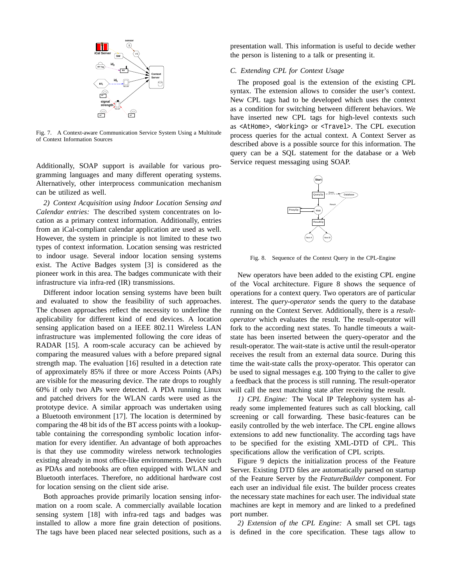

Fig. 7. A Context-aware Communication Service System Using a Multitude of Context Information Sources

Additionally, SOAP support is available for various programming languages and many different operating systems. Alternatively, other interprocess communication mechanism can be utilized as well.

*2) Context Acquisition using Indoor Location Sensing and Calendar entries:* The described system concentrates on location as a primary context information. Additionally, entries from an iCal-compliant calendar application are used as well. However, the system in principle is not limited to these two types of context information. Location sensing was restricted to indoor usage. Several indoor location sensing systems exist. The Active Badges system [3] is considered as the pioneer work in this area. The badges communicate with their infrastructure via infra-red (IR) transmissions.

Different indoor location sensing systems have been built and evaluated to show the feasibility of such approaches. The chosen approaches reflect the necessity to underline the applicability for different kind of end devices. A location sensing application based on a IEEE 802.11 Wireless LAN infrastructure was implemented following the core ideas of RADAR [15]. A room-scale accuracy can be achieved by comparing the measured values with a before prepared signal strength map. The evaluation [16] resulted in a detection rate of approximately 85% if three or more Access Points (APs) are visible for the measuring device. The rate drops to roughly 60% if only two APs were detected. A PDA running Linux and patched drivers for the WLAN cards were used as the prototype device. A similar approach was undertaken using a Bluetooth environment [17]. The location is determined by comparing the 48 bit ids of the BT access points with a lookuptable containing the corresponding symbolic location information for every identifier. An advantage of both approaches is that they use commodity wireless network technologies existing already in most office-like environments. Device such as PDAs and notebooks are often equipped with WLAN and Bluetooth interfaces. Therefore, no additional hardware cost for location sensing on the client side arise.

Both approaches provide primarily location sensing information on a room scale. A commercially available location sensing system [18] with infra-red tags and badges was installed to allow a more fine grain detection of positions. The tags have been placed near selected positions, such as a

presentation wall. This information is useful to decide wether the person is listening to a talk or presenting it.

# *C. Extending CPL for Context Usage*

The proposed goal is the extension of the existing CPL syntax. The extension allows to consider the user's context. New CPL tags had to be developed which uses the context as a condition for switching between different behaviors. We have inserted new CPL tags for high-level contexts such as <AtHome>, <Working> or <Travel>. The CPL execution process queries for the actual context. A Context Server as described above is a possible source for this information. The query can be a SQL statement for the database or a Web Service request messaging using SOAP.



Fig. 8. Sequence of the Context Query in the CPL-Engine

New operators have been added to the existing CPL engine of the Vocal architecture. Figure 8 shows the sequence of operations for a context query. Two operators are of particular interest. The *query-operator* sends the query to the database running on the Context Server. Additionally, there is a *resultoperator* which evaluates the result. The result-operator will fork to the according next states. To handle timeouts a waitstate has been inserted between the query-operator and the result-operator. The wait-state is active until the result-operator receives the result from an external data source. During this time the wait-state calls the proxy-operator. This operator can be used to signal messages e.g. 100 Trying to the caller to give a feedback that the process is still running. The result-operator will call the next matching state after receiving the result.

*1) CPL Engine:* The Vocal IP Telephony system has already some implemented features such as call blocking, call screening or call forwarding. These basic-features can be easily controlled by the web interface. The CPL engine allows extensions to add new functionality. The according tags have to be specified for the existing XML-DTD of CPL. This specifications allow the verification of CPL scripts.

Figure 9 depicts the initialization process of the Feature Server. Existing DTD files are automatically parsed on startup of the Feature Server by the *FeatureBuilder* component. For each user an individual file exist. The builder process creates the necessary state machines for each user. The individual state machines are kept in memory and are linked to a predefined port number.

*2) Extension of the CPL Engine:* A small set CPL tags is defined in the core specification. These tags allow to